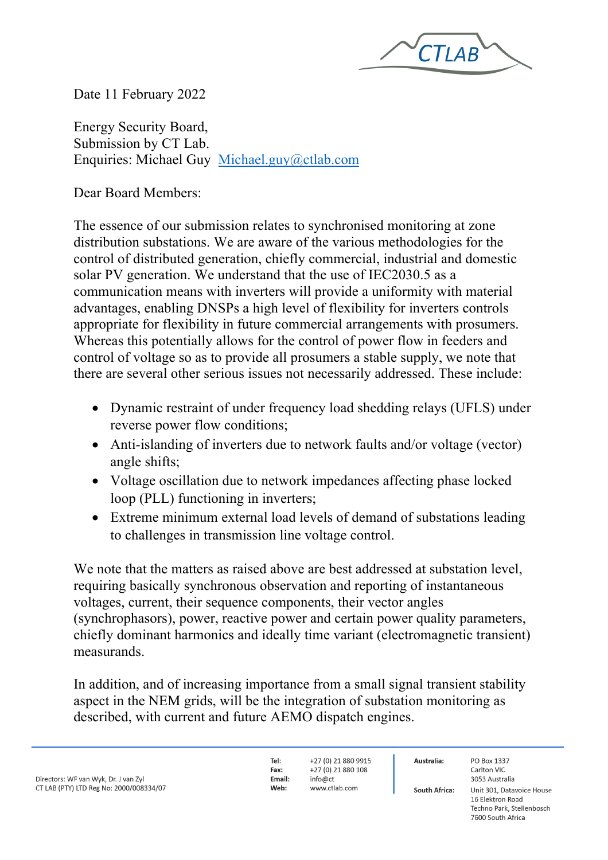Date 11 February 2022

Energy Security Board, Submission by CT Lab. Enquiries: Michael Guy Michael.guy@ctlab.com

Dear Board Members:

The essence of our submission relates to synchronised monitoring at zone distribution substations. We are aware of the various methodologies for the control of distributed generation, chiefly commercial, industrial and domestic solar PV generation. We understand that the use of IEC2030.5 as a communication means with inverters will provide a uniformity with material advantages, enabling DNSPs a high level of flexibility for inverters controls appropriate for flexibility in future commercial arrangements with prosumers. Whereas this potentially allows for the control of power flow in feeders and control of voltage so as to provide all prosumers a stable supply, we note that there are several other serious issues not necessarily addressed. These include:

- Dynamic restraint of under frequency load shedding relays (UFLS) under reverse power flow conditions;
- Anti-islanding of inverters due to network faults and/or voltage (vector) angle shifts;
- Voltage oscillation due to network impedances affecting phase locked loop (PLL) functioning in inverters;
- Extreme minimum external load levels of demand of substations leading to challenges in transmission line voltage control.

We note that the matters as raised above are best addressed at substation level. requiring basically synchronous observation and reporting of instantaneous voltages, current, their sequence components, their vector angles (synchrophasors), power, reactive power and certain power quality parameters, chiefly dominant harmonics and ideally time variant (electromagnetic transient) measurands.

In addition, and of increasing importance from a small signal transient stability aspect in the NEM grids, will be the integration of substation monitoring as described, with current and future AEMO dispatch engines.

Tel: Fav: Email: Web:

+27 (0) 21 880 9915 +27 (0) 21 880 108 info@ct www.ctlab.com

Australia:

**South Africa:**